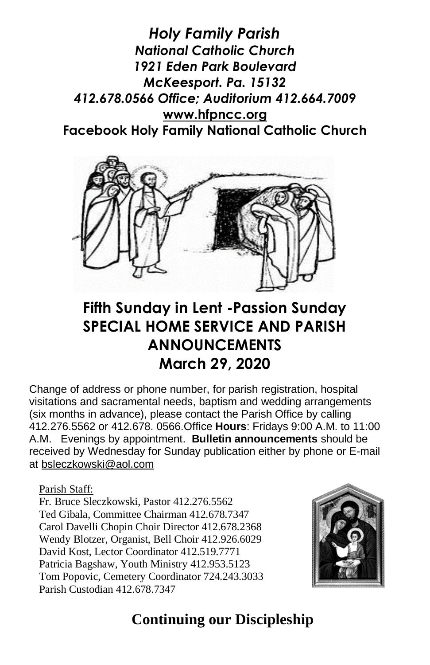*Holy Family Parish National Catholic Church 1921 Eden Park Boulevard McKeesport. Pa. 15132 412.678.0566 Office; Auditorium 412.664.7009* **[www.hfpncc.org](http://www.hfpncc.org/) Facebook Holy Family National Catholic Church**



# **Fifth Sunday in Lent -Passion Sunday SPECIAL HOME SERVICE AND PARISH ANNOUNCEMENTS March 29, 2020**

Change of address or phone number, for parish registration, hospital visitations and sacramental needs, baptism and wedding arrangements (six months in advance), please contact the Parish Office by calling 412.276.5562 or 412.678. 0566.Office **Hours**: Fridays 9:00 A.M. to 11:00 A.M. Evenings by appointment. **Bulletin announcements** should be received by Wednesday for Sunday publication either by phone or E-mail at [bsleczkowski@aol.com](mailto:bsleczkowski@aol.com)

Parish Staff:

Fr. Bruce Sleczkowski, Pastor 412.276.5562 Ted Gibala, Committee Chairman 412.678.7347 Carol Davelli Chopin Choir Director 412.678.2368 Wendy Blotzer, Organist, Bell Choir 412.926.6029 David Kost, Lector Coordinator 412.519.7771 Patricia Bagshaw, Youth Ministry 412.953.5123 Tom Popovic, Cemetery Coordinator 724.243.3033 Parish Custodian 412.678.7347



# **Continuing our Discipleship**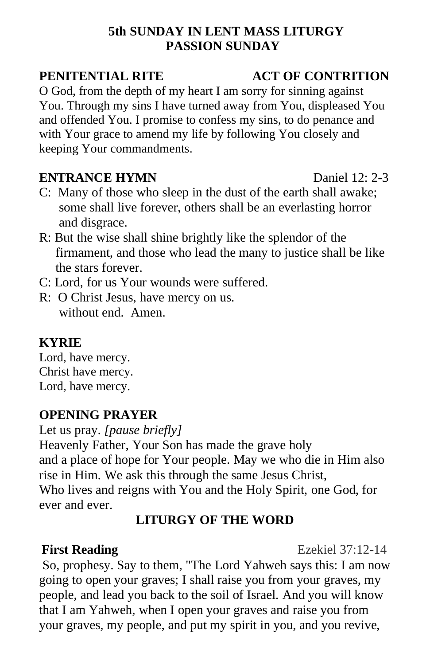## **5th SUNDAY IN LENT MASS LITURGY PASSION SUNDAY**

O God, from the depth of my heart I am sorry for sinning against You. Through my sins I have turned away from You, displeased You and offended You. I promise to confess my sins, to do penance and with Your grace to amend my life by following You closely and keeping Your commandments.

## **ENTRANCE HYMN** Daniel 12: 2-3

- C: Many of those who sleep in the dust of the earth shall awake; some shall live forever, others shall be an everlasting horror and disgrace.
- R: But the wise shall shine brightly like the splendor of the firmament, and those who lead the many to justice shall be like the stars forever.
- C: Lord, for us Your wounds were suffered.
- R: O Christ Jesus, have mercy on us. without end. Amen.

## **KYRIE**

Lord, have mercy. Christ have mercy. Lord, have mercy.

## **OPENING PRAYER**

Let us pray. *[pause briefly]* 

Heavenly Father, Your Son has made the grave holy and a place of hope for Your people. May we who die in Him also rise in Him. We ask this through the same Jesus Christ, Who lives and reigns with You and the Holy Spirit, one God, for ever and ever.

## **LITURGY OF THE WORD**

**First Reading** Ezekiel 37:12-14

So, prophesy. Say to them, "The [Lord](https://www.catholic.org/encyclopedia/view.php?id=5217) [Yahweh](https://www.catholic.org/encyclopedia/view.php?id=6291) says this: I am now going to open your graves; I shall raise you from your graves, my people, and lead you back to the soil of Israel. And you [will](https://www.catholic.org/encyclopedia/view.php?id=12332) know that I am Yahweh, when I open your graves and raise you from your graves, my people, and put my [spirit](https://www.catholic.org/encyclopedia/view.php?id=11004) in you, and you revive,

## **PENITENTIAL RITE ACT OF CONTRITION**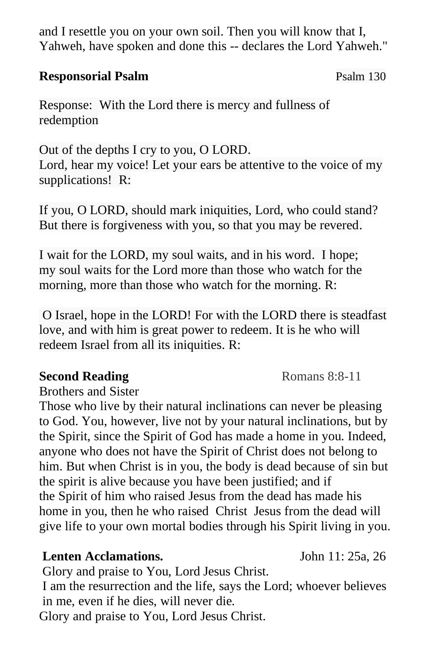and I resettle you on your own soil. Then you [will](https://www.catholic.org/encyclopedia/view.php?id=12332) know that I, Yahweh, have spoken and done this -- declares the [Lord](https://www.catholic.org/encyclopedia/view.php?id=5217) Yahweh."

### **Responsorial Psalm** Psalm 130

Response: With the Lord there is mercy and fullness of redemption

Out of the depths I cry to you, O LORD. Lord, hear my voice! Let your ears be attentive to the voice of my supplications! R:

If you, O LORD, should mark iniquities, Lord, who could stand? But there is forgiveness with you, so that you may be revered.

I wait for the LORD, my soul waits, and in his word. I hope; my soul waits for the Lord more than those who watch for the morning, more than those who watch for the morning. R:

O Israel, hope in the LORD! For with the LORD there is steadfast love, and with him is great power to redeem. It is he who will redeem Israel from all its iniquities. R:

## **Second Reading** Romans 8:8-11

Brothers and Sister

Those who live by their natural inclinations can never be pleasing to God. You, however, live not by your natural inclinations, but by the Spirit, since the [Spirit](https://www.catholic.org/encyclopedia/view.php?id=11004) of [God](https://www.catholic.org/encyclopedia/view.php?id=5217) has made a home in you. Indeed, anyone who does not have the [Spirit](https://www.catholic.org/encyclopedia/view.php?id=11004) of [Christ](https://www.catholic.org/clife/jesus) does not belong to him. But when [Christ](https://www.catholic.org/clife/jesus) is in you, the body is dead because of [sin](https://www.catholic.org/encyclopedia/view.php?id=10849) but the [spirit](https://www.catholic.org/encyclopedia/view.php?id=11004) is alive because you have been justified; and if the [Spirit](https://www.catholic.org/encyclopedia/view.php?id=11004) of him who raised [Jesus](https://www.catholic.org/clife/jesus) from the dead has made his home in you, then he who raised Christ [Jesus](https://www.catholic.org/clife/jesus) from the dead [will](https://www.catholic.org/encyclopedia/view.php?id=12332) give [life](https://www.catholic.org/encyclopedia/view.php?id=7101) to your own mortal bodies through his [Spirit](https://www.catholic.org/encyclopedia/view.php?id=11004) living in you.

## **Lenten Acclamations.** John 11: 25a, 26

Glory and praise to You, Lord Jesus Christ. I am the resurrection and the life, says the Lord; whoever believes in me, even if he dies, will never die. Glory and praise to You, Lord Jesus Christ.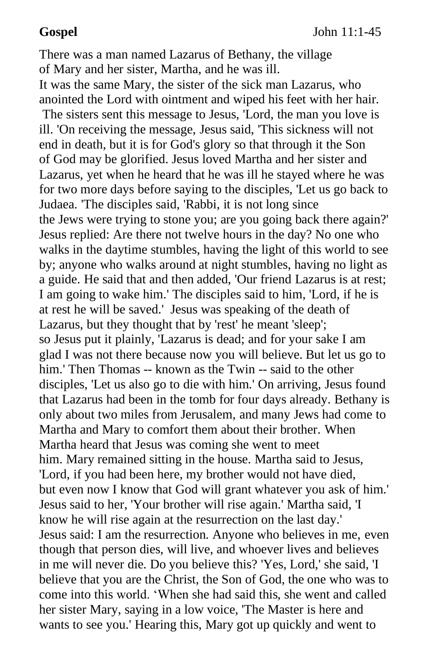There was a [man](https://www.catholic.org/encyclopedia/view.php?id=7463) named [Lazarus](https://www.catholic.org/encyclopedia/view.php?id=6939) of Bethany, the village of [Mary](https://www.catholic.org/bookstore/?category=19) and her sister, Martha, and he was ill.

It was the same Mary, the sister of the sick [man](https://www.catholic.org/encyclopedia/view.php?id=7463) Lazarus, who anointed the [Lord](https://www.catholic.org/encyclopedia/view.php?id=5217) with ointment and wiped his feet with her hair. The sisters sent this message to Jesus, 'Lord, the [man](https://www.catholic.org/encyclopedia/view.php?id=7463) you love is ill. 'On receiving the message, [Jesus](https://www.catholic.org/clife/jesus) said, 'This sickness [will](https://www.catholic.org/encyclopedia/view.php?id=12332) not end in death, but it is for God's [glory](https://www.catholic.org/encyclopedia/view.php?id=5201) so that through it the Son of [God](https://www.catholic.org/encyclopedia/view.php?id=5217) may be glorified. Jesus loved Martha and her sister and Lazarus, yet when he heard that he was ill he stayed where he was for two more days before saying to the disciples, 'Let us go back to Judaea. 'The disciples said, 'Rabbi, it is not long since the [Jews](https://www.catholic.org/encyclopedia/view.php?id=6511) were trying to stone you; are you going back there again?' Jesus replied: Are there not twelve hours in the day? No one who walks in the daytime stumbles, having the light of this world to see by; anyone who walks around at night stumbles, having no light as a guide. He said that and then added, 'Our friend [Lazarus](https://www.catholic.org/encyclopedia/view.php?id=6939) is at rest; I am going to wake him.' The disciples said to him, 'Lord, if he is at rest he [will](https://www.catholic.org/encyclopedia/view.php?id=12332) be saved.' Jesus was speaking of the death of Lazarus, but they thought that by 'rest' he meant 'sleep'; so [Jesus](https://www.catholic.org/clife/jesus) put it plainly, 'Lazarus is dead; and for your sake I am glad I was not there because now you [will](https://www.catholic.org/encyclopedia/view.php?id=12332) believe. But let us go to him.' Then Thomas -- known as the Twin -- said to the other disciples, 'Let us also go to die with him.' On arriving, [Jesus](https://www.catholic.org/clife/jesus) found that [Lazarus](https://www.catholic.org/encyclopedia/view.php?id=6939) had been in the [tomb](https://www.catholic.org/encyclopedia/view.php?id=11611) for four days already. Bethany is only about two miles from Jerusalem, and many [Jews](https://www.catholic.org/encyclopedia/view.php?id=6511) had come to Martha and [Mary](https://www.catholic.org/bookstore/?category=19) to comfort them about their brother. When Martha heard that [Jesus](https://www.catholic.org/clife/jesus) was coming she went to meet him. [Mary](https://www.catholic.org/bookstore/?category=19) remained sitting in the house. Martha said to Jesus, 'Lord, if you had been here, my brother would not have died, but even now I know that [God](https://www.catholic.org/encyclopedia/view.php?id=5217) [will](https://www.catholic.org/encyclopedia/view.php?id=12332) grant whatever you ask of him.' Jesus said to her, 'Your brother [will](https://www.catholic.org/encyclopedia/view.php?id=12332) rise again.' Martha said, 'I know he [will](https://www.catholic.org/encyclopedia/view.php?id=12332) rise again at the resurrection on the last day.' Jesus said: I am the resurrection. Anyone who believes in me, even though that [person](https://www.catholic.org/encyclopedia/view.php?id=9193) dies, [will](https://www.catholic.org/encyclopedia/view.php?id=12332) live, and whoever lives and believes in me [will](https://www.catholic.org/encyclopedia/view.php?id=12332) never die. Do you believe this? 'Yes, Lord,' she said, 'I believe that you are the Christ, the Son of God, the one who was to come into this world. 'When she had said this, she went and called her sister Mary, saying in a low voice, 'The Master is here and wants to see you.' Hearing this, [Mary](https://www.catholic.org/bookstore/?category=19) got up quickly and went to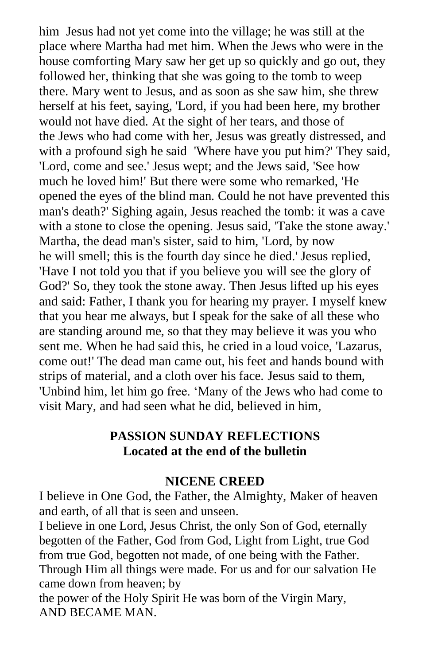him Jesus had not yet come into the village; he was still at the place where Martha had met him. When the [Jews](https://www.catholic.org/encyclopedia/view.php?id=6511) who were in the house comforting [Mary](https://www.catholic.org/bookstore/?category=19) saw her get up so quickly and go out, they followed her, thinking that she was going to the [tomb](https://www.catholic.org/encyclopedia/view.php?id=11611) to weep there. Mary went to Jesus, and as soon as she saw him, she threw herself at his feet, saying, 'Lord, if you had been here, my brother would not have died. At the sight of her tears, and those of the [Jews](https://www.catholic.org/encyclopedia/view.php?id=6511) who had come with her, [Jesus](https://www.catholic.org/clife/jesus) was greatly distressed, and with a profound sigh he said 'Where have you put him?' They said, 'Lord, come and see.' Jesus wept; and the [Jews](https://www.catholic.org/encyclopedia/view.php?id=6511) said, 'See how much he loved him!' But there were some who remarked, 'He opened the eyes of the blind man. Could he not have prevented this man's death?' Sighing again, [Jesus](https://www.catholic.org/clife/jesus) reached the tomb: it was a cave with a stone to close the opening. Jesus said, 'Take the stone away.' Martha, the dead man's sister, said to him, 'Lord, by now he [will](https://www.catholic.org/encyclopedia/view.php?id=12332) smell; this is the fourth day since he died.' Jesus replied, 'Have I not told you that if you believe you [will](https://www.catholic.org/encyclopedia/view.php?id=12332) see the [glory](https://www.catholic.org/encyclopedia/view.php?id=5201) of God?' So, they took the stone away. Then [Jesus](https://www.catholic.org/clife/jesus) lifted up his eyes and said: Father, I thank you for hearing my prayer. I myself knew that you hear me always, but I speak for the sake of all these who are standing around me, so that they may believe it was you who sent me. When he had said this, he cried in a loud voice, 'Lazarus, come out!' The dead [man](https://www.catholic.org/encyclopedia/view.php?id=7463) came out, his feet and hands bound with strips of material, and a cloth over his face. [Jesus](https://www.catholic.org/clife/jesus) said to them, 'Unbind him, let him go free. 'Many of the [Jews](https://www.catholic.org/encyclopedia/view.php?id=6511) who had come to visit Mary, and had seen what he did, believed in him,

## **PASSION SUNDAY REFLECTIONS Located at the end of the bulletin**

### **NICENE CREED**

I believe in One God, the Father, the Almighty, Maker of heaven and earth, of all that is seen and unseen.

I believe in one Lord, Jesus Christ, the only Son of God, eternally begotten of the Father, God from God, Light from Light, true God from true God, begotten not made, of one being with the Father. Through Him all things were made. For us and for our salvation He came down from heaven; by

the power of the Holy Spirit He was born of the Virgin Mary, AND BECAME MAN.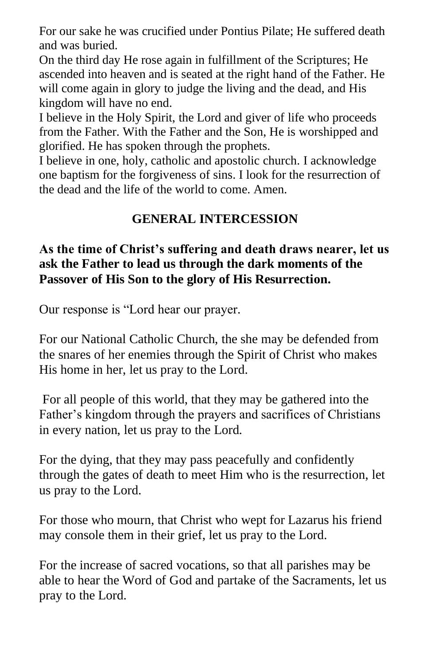For our sake he was crucified under Pontius Pilate; He suffered death and was buried.

On the third day He rose again in fulfillment of the Scriptures; He ascended into heaven and is seated at the right hand of the Father. He will come again in glory to judge the living and the dead, and His kingdom will have no end.

I believe in the Holy Spirit, the Lord and giver of life who proceeds from the Father. With the Father and the Son, He is worshipped and glorified. He has spoken through the prophets.

I believe in one, holy, catholic and apostolic church. I acknowledge one baptism for the forgiveness of sins. I look for the resurrection of the dead and the life of the world to come. Amen.

## **GENERAL INTERCESSION**

## **As the time of Christ's suffering and death draws nearer, let us ask the Father to lead us through the dark moments of the Passover of His Son to the glory of His Resurrection.**

Our response is "Lord hear our prayer.

For our National Catholic Church, the she may be defended from the snares of her enemies through the Spirit of Christ who makes His home in her, let us pray to the Lord.

For all people of this world, that they may be gathered into the Father's kingdom through the prayers and sacrifices of Christians in every nation, let us pray to the Lord.

For the dying, that they may pass peacefully and confidently through the gates of death to meet Him who is the resurrection, let us pray to the Lord.

For those who mourn, that Christ who wept for Lazarus his friend may console them in their grief, let us pray to the Lord.

For the increase of sacred vocations, so that all parishes may be able to hear the Word of God and partake of the Sacraments, let us pray to the Lord.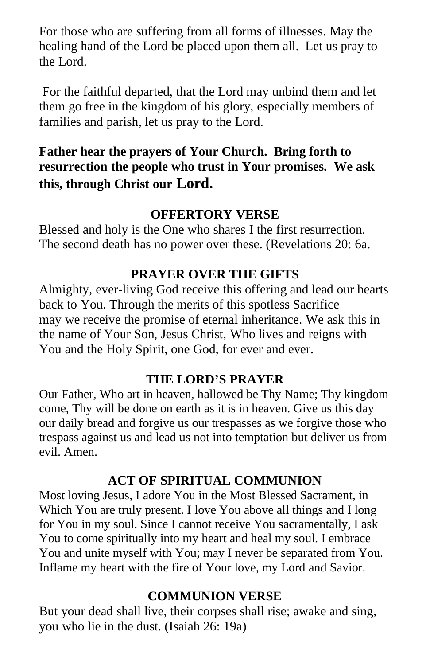For those who are suffering from all forms of illnesses. May the healing hand of the Lord be placed upon them all. Let us pray to the Lord.

For the faithful departed, that the Lord may unbind them and let them go free in the kingdom of his glory, especially members of families and parish, let us pray to the Lord.

## **Father hear the prayers of Your Church. Bring forth to resurrection the people who trust in Your promises. We ask this, through Christ our Lord.**

## **OFFERTORY VERSE**

Blessed and holy is the One who shares I the first resurrection. The second death has no power over these. (Revelations 20: 6a.

## **PRAYER OVER THE GIFTS**

Almighty, ever-living God receive this offering and lead our hearts back to You. Through the merits of this spotless Sacrifice may we receive the promise of eternal inheritance. We ask this in the name of Your Son, Jesus Christ, Who lives and reigns with You and the Holy Spirit, one God, for ever and ever.

### **THE LORD'S PRAYER**

Our Father, Who art in heaven, hallowed be Thy Name; Thy kingdom come, Thy will be done on earth as it is in heaven. Give us this day our daily bread and forgive us our trespasses as we forgive those who trespass against us and lead us not into temptation but deliver us from evil. Amen.

### **ACT OF SPIRITUAL COMMUNION**

Most loving Jesus, I adore You in the Most Blessed Sacrament, in Which You are truly present. I love You above all things and I long for You in my soul. Since I cannot receive You sacramentally, I ask You to come spiritually into my heart and heal my soul. I embrace You and unite myself with You; may I never be separated from You. Inflame my heart with the fire of Your love, my Lord and Savior.

### **COMMUNION VERSE**

But your dead shall live, their corpses shall rise; awake and sing, you who lie in the dust. (Isaiah 26: 19a)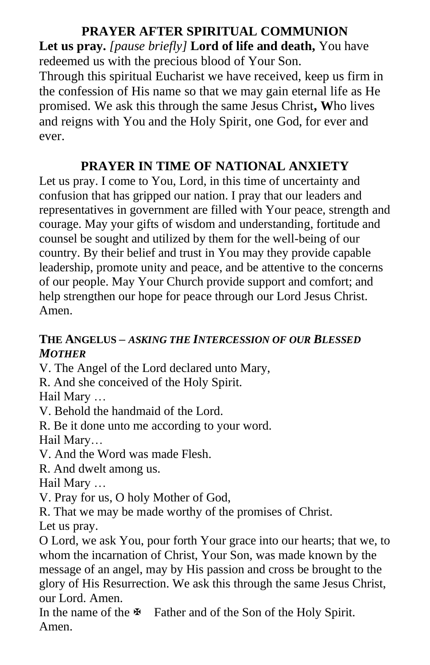**PRAYER AFTER SPIRITUAL COMMUNION Let us pray.** *[pause briefly]* **Lord of life and death,** You have redeemed us with the precious blood of Your Son. Through this spiritual Eucharist we have received, keep us firm in the confession of His name so that we may gain eternal life as He promised. We ask this through the same Jesus Christ**, W**ho lives and reigns with You and the Holy Spirit, one God, for ever and ever.

## **PRAYER IN TIME OF NATIONAL ANXIETY**

Let us pray. I come to You, Lord, in this time of uncertainty and confusion that has gripped our nation. I pray that our leaders and representatives in government are filled with Your peace, strength and courage. May your gifts of wisdom and understanding, fortitude and counsel be sought and utilized by them for the well-being of our country. By their belief and trust in You may they provide capable leadership, promote unity and peace, and be attentive to the concerns of our people. May Your Church provide support and comfort; and help strengthen our hope for peace through our Lord Jesus Christ. Amen.

## **THE ANGELUS –** *ASKING THE INTERCESSION OF OUR BLESSED MOTHER*

V. The Angel of the Lord declared unto Mary,

R. And she conceived of the Holy Spirit.

Hail Mary …

V. Behold the handmaid of the Lord.

R. Be it done unto me according to your word.

Hail Mary…

V. And the Word was made Flesh.

R. And dwelt among us.

Hail Mary …

V. Pray for us, O holy Mother of God,

R. That we may be made worthy of the promises of Christ. Let us pray.

O Lord, we ask You, pour forth Your grace into our hearts; that we, to whom the incarnation of Christ, Your Son, was made known by the message of an angel, may by His passion and cross be brought to the glory of His Resurrection. We ask this through the same Jesus Christ, our Lord. Amen.

In the name of the  $\mathbb F$  Father and of the Son of the Holy Spirit. Amen.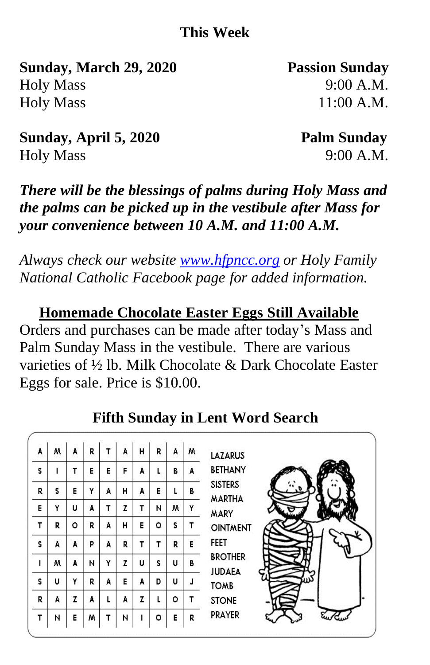## **This Week**

**Sunday, March 29, 2020 Passion Sunday**  Holy Mass 9:00 A.M. Holy Mass 11:00 A.M.

**Sunday, April 5, 2020 Palm Sunday** Holy Mass 9:00 A.M.

*There will be the blessings of palms during Holy Mass and the palms can be picked up in the vestibule after Mass for your convenience between 10 A.M. and 11:00 A.M.*

*Always check our website [www.hfpncc.org](http://www.hfpncc.org/) or Holy Family National Catholic Facebook page for added information.*

**Homemade Chocolate Easter Eggs Still Available**

Orders and purchases can be made after today's Mass and Palm Sunday Mass in the vestibule. There are various varieties of ½ lb. Milk Chocolate & Dark Chocolate Easter Eggs for sale. Price is \$10.00.

| A | м | A | R |   | A | н | R  | A | W | <b>LAZARUS</b>                  |   |  |
|---|---|---|---|---|---|---|----|---|---|---------------------------------|---|--|
| s |   | т | Е | E | F | A |    | в | A | <b>BETHANY</b>                  |   |  |
| R | s | Е | Y | A | н | A | Е  |   | В | <b>SISTERS</b><br><b>MARTHA</b> |   |  |
| E | Y | U | A | т | z | т | Ν  | W | Y | <b>MARY</b>                     |   |  |
| T | R | ٥ | R | A | Ĥ | Ė | o  | s | т | <b>OINTMENT</b>                 |   |  |
| s | A | A | P | A | R | T | т  | R | E | <b>FEET</b>                     |   |  |
| ı | м | A | N | Y | z | Ù | s  | U | B | <b>BROTHER</b><br><b>JUDAEA</b> |   |  |
| s | Ù | Y | R | A | E | A | D. | U |   | <b>TOMB</b>                     | װ |  |
| R | A | z | A |   | A | z | L  | ٥ | т | <b>STONE</b>                    |   |  |
| T | и | E | W | т | Ν |   | ٥  | E | R | <b>PRAYER</b>                   |   |  |

## **Fifth Sunday in Lent Word Search**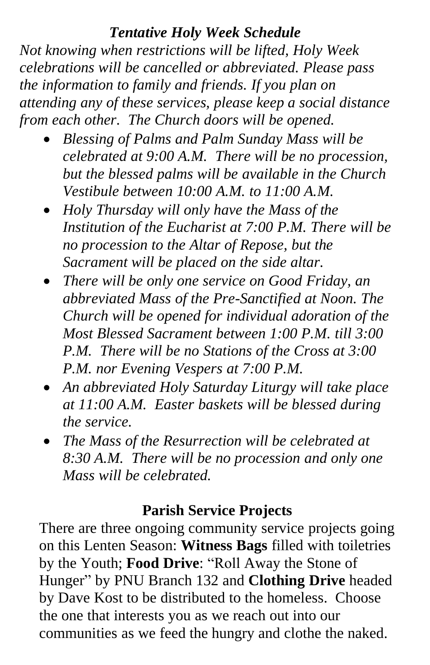# *Tentative Holy Week Schedule*

*Not knowing when restrictions will be lifted, Holy Week celebrations will be cancelled or abbreviated. Please pass the information to family and friends. If you plan on attending any of these services, please keep a social distance from each other. The Church doors will be opened.*

- *Blessing of Palms and Palm Sunday Mass will be celebrated at 9:00 A.M. There will be no procession, but the blessed palms will be available in the Church Vestibule between 10:00 A.M. to 11:00 A.M.*
- *Holy Thursday will only have the Mass of the Institution of the Eucharist at 7:00 P.M. There will be no procession to the Altar of Repose, but the Sacrament will be placed on the side altar.*
- *There will be only one service on Good Friday, an abbreviated Mass of the Pre-Sanctified at Noon. The Church will be opened for individual adoration of the Most Blessed Sacrament between 1:00 P.M. till 3:00 P.M. There will be no Stations of the Cross at 3:00 P.M. nor Evening Vespers at 7:00 P.M.*
- *An abbreviated Holy Saturday Liturgy will take place at 11:00 A.M. Easter baskets will be blessed during the service.*
- *The Mass of the Resurrection will be celebrated at 8:30 A.M. There will be no procession and only one Mass will be celebrated.*

# **Parish Service Projects**

There are three ongoing community service projects going on this Lenten Season: **Witness Bags** filled with toiletries by the Youth; **Food Drive**: "Roll Away the Stone of Hunger" by PNU Branch 132 and **Clothing Drive** headed by Dave Kost to be distributed to the homeless. Choose the one that interests you as we reach out into our communities as we feed the hungry and clothe the naked.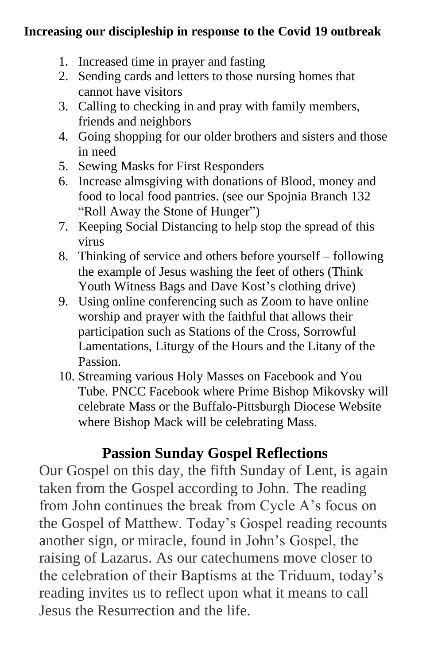## **Increasing our discipleship in response to the Covid 19 outbreak**

- 1. Increased time in prayer and fasting
- 2. Sending cards and letters to those nursing homes that cannot have visitors
- 3. Calling to checking in and pray with family members, friends and neighbors
- 4. Going shopping for our older brothers and sisters and those in need
- 5. Sewing Masks for First Responders
- 6. Increase almsgiving with donations of Blood, money and food to local food pantries. (see our Spojnia Branch 132 "Roll Away the Stone of Hunger")
- 7. Keeping Social Distancing to help stop the spread of this virus
- 8. Thinking of service and others before yourself following the example of Jesus washing the feet of others (Think Youth Witness Bags and Dave Kost's clothing drive)
- 9. Using online conferencing such as Zoom to have online worship and prayer with the faithful that allows their participation such as Stations of the Cross, Sorrowful Lamentations, Liturgy of the Hours and the Litany of the Passion.
- 10. Streaming various Holy Masses on Facebook and You Tube. PNCC Facebook where Prime Bishop Mikovsky will celebrate Mass or the Buffalo-Pittsburgh Diocese Website where Bishop Mack will be celebrating Mass.

# **Passion Sunday Gospel Reflections**

Our Gospel on this day, the fifth Sunday of Lent, is again taken from the Gospel according to John. The reading from John continues the break from Cycle A's focus on the Gospel of Matthew. Today's Gospel reading recounts another sign, or miracle, found in John's Gospel, the raising of Lazarus. As our catechumens move closer to the celebration of their Baptisms at the Triduum, today's reading invites us to reflect upon what it means to call Jesus the Resurrection and the life.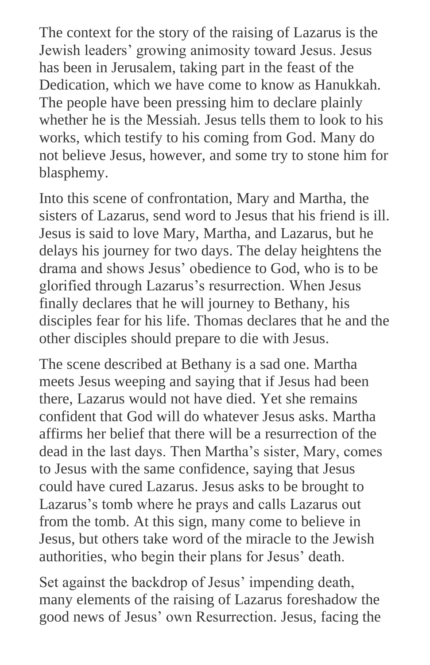The context for the story of the raising of Lazarus is the Jewish leaders' growing animosity toward Jesus. Jesus has been in Jerusalem, taking part in the feast of the Dedication, which we have come to know as Hanukkah. The people have been pressing him to declare plainly whether he is the Messiah. Jesus tells them to look to his works, which testify to his coming from God. Many do not believe Jesus, however, and some try to stone him for blasphemy.

Into this scene of confrontation, Mary and Martha, the sisters of Lazarus, send word to Jesus that his friend is ill. Jesus is said to love Mary, Martha, and Lazarus, but he delays his journey for two days. The delay heightens the drama and shows Jesus' obedience to God, who is to be glorified through Lazarus's resurrection. When Jesus finally declares that he will journey to Bethany, his disciples fear for his life. Thomas declares that he and the other disciples should prepare to die with Jesus.

The scene described at Bethany is a sad one. Martha meets Jesus weeping and saying that if Jesus had been there, Lazarus would not have died. Yet she remains confident that God will do whatever Jesus asks. Martha affirms her belief that there will be a resurrection of the dead in the last days. Then Martha's sister, Mary, comes to Jesus with the same confidence, saying that Jesus could have cured Lazarus. Jesus asks to be brought to Lazarus's tomb where he prays and calls Lazarus out from the tomb. At this sign, many come to believe in Jesus, but others take word of the miracle to the Jewish authorities, who begin their plans for Jesus' death.

Set against the backdrop of Jesus' impending death, many elements of the raising of Lazarus foreshadow the good news of Jesus' own Resurrection. Jesus, facing the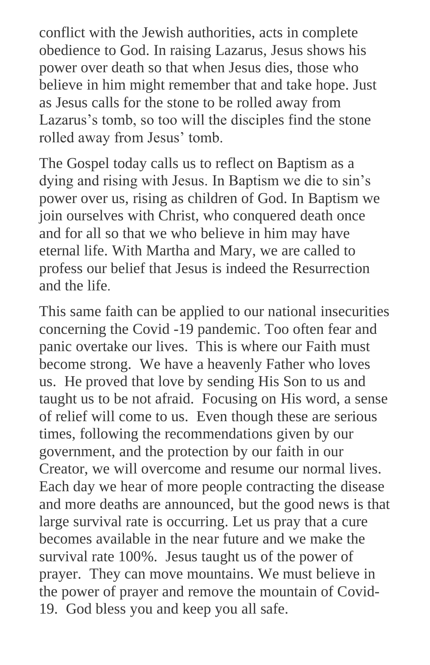conflict with the Jewish authorities, acts in complete obedience to God. In raising Lazarus, Jesus shows his power over death so that when Jesus dies, those who believe in him might remember that and take hope. Just as Jesus calls for the stone to be rolled away from Lazarus's tomb, so too will the disciples find the stone rolled away from Jesus' tomb.

The Gospel today calls us to reflect on Baptism as a dying and rising with Jesus. In Baptism we die to sin's power over us, rising as children of God. In Baptism we join ourselves with Christ, who conquered death once and for all so that we who believe in him may have eternal life. With Martha and Mary, we are called to profess our belief that Jesus is indeed the Resurrection and the life.

This same faith can be applied to our national insecurities concerning the Covid -19 pandemic. Too often fear and panic overtake our lives. This is where our Faith must become strong. We have a heavenly Father who loves us. He proved that love by sending His Son to us and taught us to be not afraid. Focusing on His word, a sense of relief will come to us. Even though these are serious times, following the recommendations given by our government, and the protection by our faith in our Creator, we will overcome and resume our normal lives. Each day we hear of more people contracting the disease and more deaths are announced, but the good news is that large survival rate is occurring. Let us pray that a cure becomes available in the near future and we make the survival rate 100%. Jesus taught us of the power of prayer. They can move mountains. We must believe in the power of prayer and remove the mountain of Covid-19. God bless you and keep you all safe.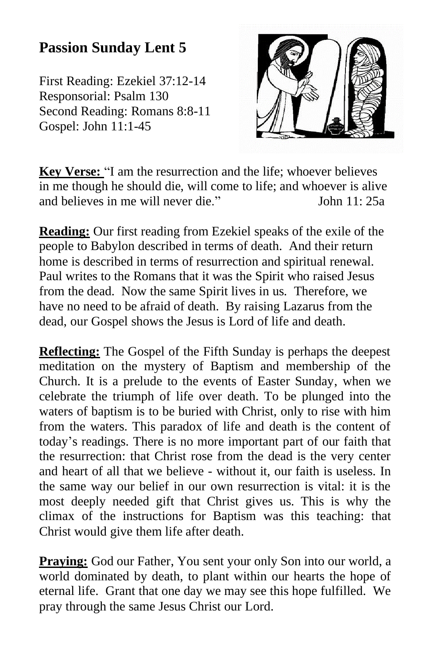# **Passion Sunday Lent 5**

First Reading: Ezekiel 37:12-14 Responsorial: Psalm 130 Second Reading: Romans 8:8-11 Gospel: John 11:1-45



**Key Verse:** "I am the resurrection and the life; whoever believes in me though he should die, will come to life; and whoever is alive and believes in me will never die." John 11: 25a

**Reading:** Our first reading from Ezekiel speaks of the exile of the people to Babylon described in terms of death. And their return home is described in terms of resurrection and spiritual renewal. Paul writes to the Romans that it was the Spirit who raised Jesus from the dead. Now the same Spirit lives in us. Therefore, we have no need to be afraid of death. By raising Lazarus from the dead, our Gospel shows the Jesus is Lord of life and death.

**Reflecting:** The Gospel of the Fifth Sunday is perhaps the deepest meditation on the mystery of Baptism and membership of the Church. It is a prelude to the events of Easter Sunday, when we celebrate the triumph of life over death. To be plunged into the waters of baptism is to be buried with Christ, only to rise with him from the waters. This paradox of life and death is the content of today's readings. There is no more important part of our faith that the resurrection: that Christ rose from the dead is the very center and heart of all that we believe - without it, our faith is useless. In the same way our belief in our own resurrection is vital: it is the most deeply needed gift that Christ gives us. This is why the climax of the instructions for Baptism was this teaching: that Christ would give them life after death.

**Praying:** God our Father, You sent your only Son into our world, a world dominated by death, to plant within our hearts the hope of eternal life. Grant that one day we may see this hope fulfilled. We pray through the same Jesus Christ our Lord.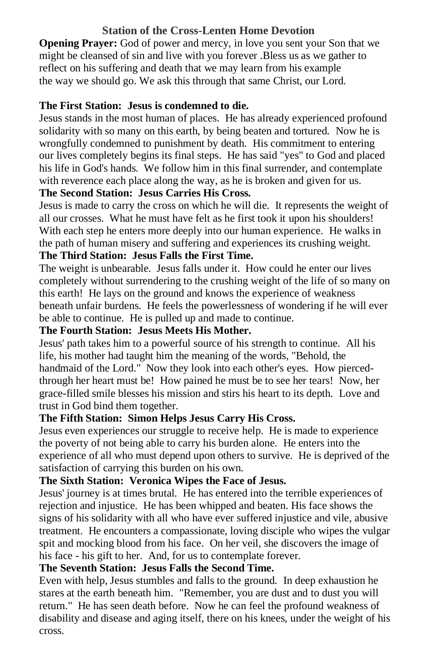#### **Station of the Cross-Lenten Home Devotion**

**Opening Prayer:** God of power and mercy, in love you sent your Son that we might be cleansed of sin and live with you forever .Bless us as we gather to reflect on his suffering and death that we may learn from his example the way we should go. We ask this through that same Christ, our Lord.

#### **The First Station: Jesus is condemned to die.**

Jesus stands in the most human of places. He has already experienced profound solidarity with so many on this earth, by being beaten and tortured. Now he is wrongfully condemned to punishment by death. His commitment to entering our lives completely begins its final steps. He has said "yes" to God and placed his life in God's hands. We follow him in this final surrender, and contemplate with reverence each place along the way, as he is broken and given for us.

## **The Second Station: Jesus Carries His Cross.**

Jesus is made to carry the cross on which he will die. It represents the weight of all our crosses. What he must have felt as he first took it upon his shoulders! With each step he enters more deeply into our human experience. He walks in the path of human misery and suffering and experiences its crushing weight.

#### **The Third Station: Jesus Falls the First Time.**

The weight is unbearable. Jesus falls under it. How could he enter our lives completely without surrendering to the crushing weight of the life of so many on this earth! He lays on the ground and knows the experience of weakness beneath unfair burdens. He feels the powerlessness of wondering if he will ever be able to continue. He is pulled up and made to continue.

#### **The Fourth Station: Jesus Meets His Mother.**

Jesus' path takes him to a powerful source of his strength to continue. All his life, his mother had taught him the meaning of the words, "Behold, the handmaid of the Lord." Now they look into each other's eyes. How piercedthrough her heart must be! How pained he must be to see her tears! Now, her grace-filled smile blesses his mission and stirs his heart to its depth. Love and trust in God bind them together.

#### **The Fifth Station: Simon Helps Jesus Carry His Cross.**

Jesus even experiences our struggle to receive help. He is made to experience the poverty of not being able to carry his burden alone. He enters into the experience of all who must depend upon others to survive. He is deprived of the satisfaction of carrying this burden on his own.

#### **The Sixth Station: Veronica Wipes the Face of Jesus.**

Jesus' journey is at times brutal. He has entered into the terrible experiences of rejection and injustice. He has been whipped and beaten. His face shows the signs of his solidarity with all who have ever suffered injustice and vile, abusive treatment. He encounters a compassionate, loving disciple who wipes the vulgar spit and mocking blood from his face. On her veil, she discovers the image of his face - his gift to her. And, for us to contemplate forever.

#### **The Seventh Station: Jesus Falls the Second Time.**

Even with help, Jesus stumbles and falls to the ground. In deep exhaustion he stares at the earth beneath him. "Remember, you are dust and to dust you will return." He has seen death before. Now he can feel the profound weakness of disability and disease and aging itself, there on his knees, under the weight of his cross.